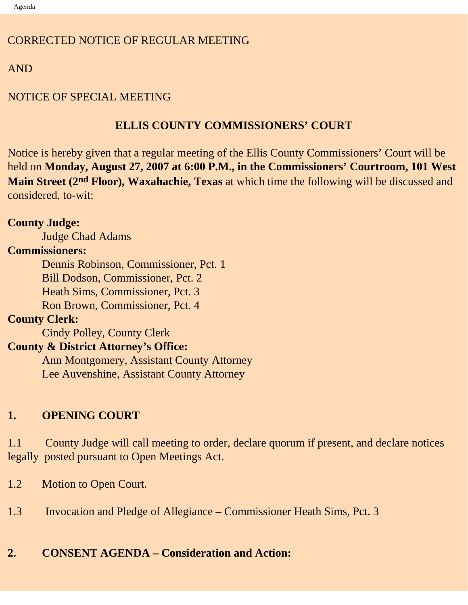### CORRECTED NOTICE OF REGULAR MEETING

## AND

## NOTICE OF SPECIAL MEETING

## **ELLIS COUNTY COMMISSIONERS' COURT**

Notice is hereby given that a regular meeting of the Ellis County Commissioners' Court will be held on **Monday, August 27, 2007 at 6:00 P.M., in the Commissioners' Courtroom, 101 West Main Street (2nd Floor), Waxahachie, Texas** at which time the following will be discussed and considered, to-wit:

## **County Judge:**

Judge Chad Adams

### **Commissioners:**

 Dennis Robinson, Commissioner, Pct. 1 Bill Dodson, Commissioner, Pct. 2 Heath Sims, Commissioner, Pct. 3 Ron Brown, Commissioner, Pct. 4

## **County Clerk:**

Cindy Polley, County Clerk

### **County & District Attorney's Office:**

 Ann Montgomery, Assistant County Attorney Lee Auvenshine, Assistant County Attorney

# **1. OPENING COURT**

1.1 County Judge will call meeting to order, declare quorum if present, and declare notices legally posted pursuant to Open Meetings Act.

- 1.2 Motion to Open Court.
- 1.3 Invocation and Pledge of Allegiance Commissioner Heath Sims, Pct. 3

# **2. CONSENT AGENDA – Consideration and Action:**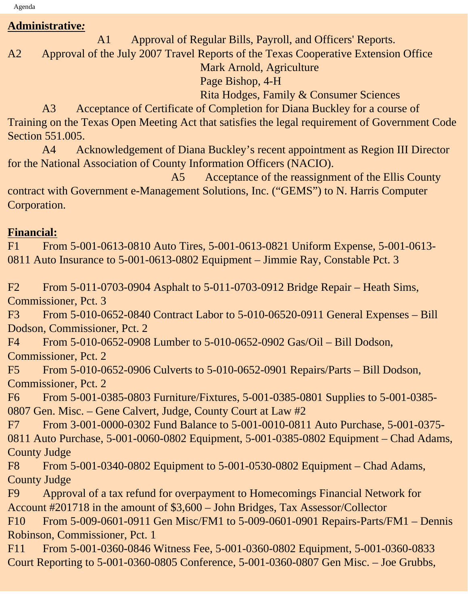Agenda

#### **Administrative***:*

A1 Approval of Regular Bills, Payroll, and Officers' Reports.

A2 Approval of the July 2007 Travel Reports of the Texas Cooperative Extension Office

Mark Arnold, Agriculture

Page Bishop, 4-H

Rita Hodges, Family & Consumer Sciences

 A3 Acceptance of Certificate of Completion for Diana Buckley for a course of Training on the Texas Open Meeting Act that satisfies the legal requirement of Government Code Section 551.005.

 A4 Acknowledgement of Diana Buckley's recent appointment as Region III Director for the National Association of County Information Officers (NACIO).

 A5 Acceptance of the reassignment of the Ellis County contract with Government e-Management Solutions, Inc. ("GEMS") to N. Harris Computer Corporation.

### **Financial:**

F1 From 5-001-0613-0810 Auto Tires, 5-001-0613-0821 Uniform Expense, 5-001-0613- 0811 Auto Insurance to 5-001-0613-0802 Equipment – Jimmie Ray, Constable Pct. 3

F2 From 5-011-0703-0904 Asphalt to 5-011-0703-0912 Bridge Repair – Heath Sims, Commissioner, Pct. 3

F3 From 5-010-0652-0840 Contract Labor to 5-010-06520-0911 General Expenses – Bill Dodson, Commissioner, Pct. 2

F4 From 5-010-0652-0908 Lumber to 5-010-0652-0902 Gas/Oil – Bill Dodson, Commissioner, Pct. 2

F5 From 5-010-0652-0906 Culverts to 5-010-0652-0901 Repairs/Parts – Bill Dodson, Commissioner, Pct. 2

F6 From 5-001-0385-0803 Furniture/Fixtures, 5-001-0385-0801 Supplies to 5-001-0385- 0807 Gen. Misc. – Gene Calvert, Judge, County Court at Law #2

F7 From 3-001-0000-0302 Fund Balance to 5-001-0010-0811 Auto Purchase, 5-001-0375- 0811 Auto Purchase, 5-001-0060-0802 Equipment, 5-001-0385-0802 Equipment – Chad Adams, County Judge

F8 From 5-001-0340-0802 Equipment to 5-001-0530-0802 Equipment – Chad Adams, County Judge

F9 Approval of a tax refund for overpayment to Homecomings Financial Network for Account #201718 in the amount of \$3,600 – John Bridges, Tax Assessor/Collector

F10 From 5-009-0601-0911 Gen Misc/FM1 to 5-009-0601-0901 Repairs-Parts/FM1 – Dennis Robinson, Commissioner, Pct. 1

F11 From 5-001-0360-0846 Witness Fee, 5-001-0360-0802 Equipment, 5-001-0360-0833 Court Reporting to 5-001-0360-0805 Conference, 5-001-0360-0807 Gen Misc. – Joe Grubbs,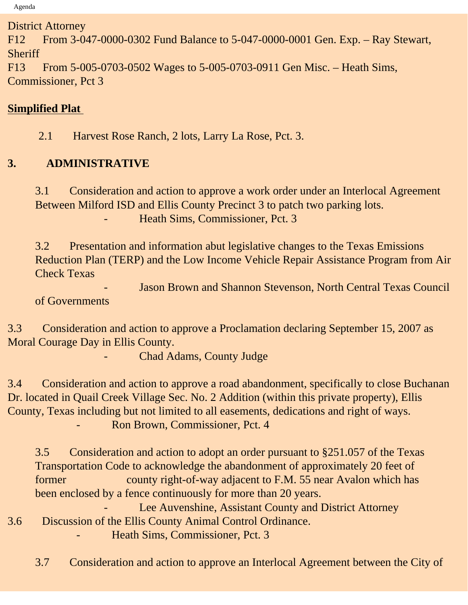District Attorney

F12 From 3-047-0000-0302 Fund Balance to 5-047-0000-0001 Gen. Exp. – Ray Stewart, **Sheriff** 

F13 From 5-005-0703-0502 Wages to 5-005-0703-0911 Gen Misc. – Heath Sims, Commissioner, Pct 3

## **Simplified Plat**

2.1 Harvest Rose Ranch, 2 lots, Larry La Rose, Pct. 3.

# **3. ADMINISTRATIVE**

3.1 Consideration and action to approve a work order under an Interlocal Agreement Between Milford ISD and Ellis County Precinct 3 to patch two parking lots. - Heath Sims, Commissioner, Pct. 3

3.2 Presentation and information abut legislative changes to the Texas Emissions Reduction Plan (TERP) and the Low Income Vehicle Repair Assistance Program from Air Check Texas

Jason Brown and Shannon Stevenson, North Central Texas Council of Governments

3.3 Consideration and action to approve a Proclamation declaring September 15, 2007 as Moral Courage Day in Ellis County.

Chad Adams, County Judge

3.4 Consideration and action to approve a road abandonment, specifically to close Buchanan Dr. located in Quail Creek Village Sec. No. 2 Addition (within this private property), Ellis County, Texas including but not limited to all easements, dedications and right of ways. Ron Brown, Commissioner, Pct. 4

3.5 Consideration and action to adopt an order pursuant to §251.057 of the Texas Transportation Code to acknowledge the abandonment of approximately 20 feet of former county right-of-way adjacent to F.M. 55 near Avalon which has been enclosed by a fence continuously for more than 20 years.

Lee Auvenshine, Assistant County and District Attorney 3.6 Discussion of the Ellis County Animal Control Ordinance.

- Heath Sims, Commissioner, Pct. 3

3.7 Consideration and action to approve an Interlocal Agreement between the City of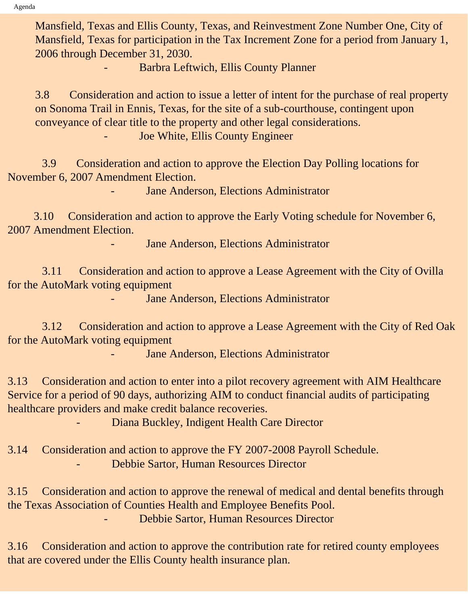Mansfield, Texas and Ellis County, Texas, and Reinvestment Zone Number One, City of Mansfield, Texas for participation in the Tax Increment Zone for a period from January 1, 2006 through December 31, 2030.

- Barbra Leftwich, Ellis County Planner

3.8 Consideration and action to issue a letter of intent for the purchase of real property on Sonoma Trail in Ennis, Texas, for the site of a sub-courthouse, contingent upon conveyance of clear title to the property and other legal considerations.

Joe White, Ellis County Engineer

 3.9 Consideration and action to approve the Election Day Polling locations for November 6, 2007 Amendment Election.

Jane Anderson, Elections Administrator

 3.10 Consideration and action to approve the Early Voting schedule for November 6, 2007 Amendment Election.

Jane Anderson, Elections Administrator

 3.11 Consideration and action to approve a Lease Agreement with the City of Ovilla for the AutoMark voting equipment

Jane Anderson, Elections Administrator

 3.12 Consideration and action to approve a Lease Agreement with the City of Red Oak for the AutoMark voting equipment

Jane Anderson, Elections Administrator

3.13 Consideration and action to enter into a pilot recovery agreement with AIM Healthcare Service for a period of 90 days, authorizing AIM to conduct financial audits of participating healthcare providers and make credit balance recoveries.

- Diana Buckley, Indigent Health Care Director

3.14 Consideration and action to approve the FY 2007-2008 Payroll Schedule. - Debbie Sartor, Human Resources Director

3.15 Consideration and action to approve the renewal of medical and dental benefits through the Texas Association of Counties Health and Employee Benefits Pool. - Debbie Sartor, Human Resources Director

3.16 Consideration and action to approve the contribution rate for retired county employees that are covered under the Ellis County health insurance plan.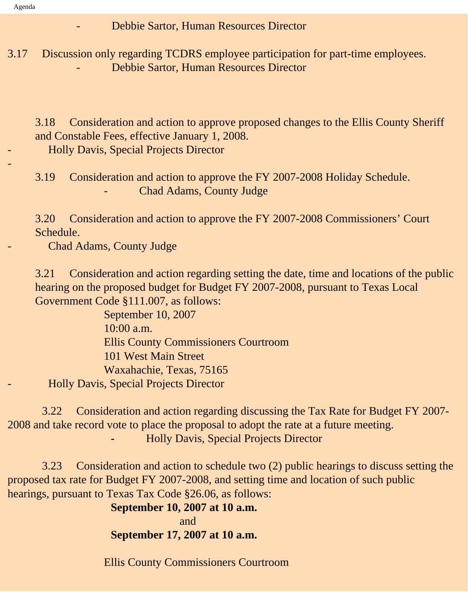-

- Debbie Sartor, Human Resources Director

3.17 Discussion only regarding TCDRS employee participation for part-time employees. - Debbie Sartor, Human Resources Director

3.18 Consideration and action to approve proposed changes to the Ellis County Sheriff and Constable Fees, effective January 1, 2008.

- Holly Davis, Special Projects Director

3.19 Consideration and action to approve the FY 2007-2008 Holiday Schedule. Chad Adams, County Judge

3.20 Consideration and action to approve the FY 2007-2008 Commissioners' Court Schedule.

Chad Adams, County Judge

3.21 Consideration and action regarding setting the date, time and locations of the public hearing on the proposed budget for Budget FY 2007-2008, pursuant to Texas Local Government Code §111.007, as follows:

 September 10, 2007 10:00 a.m. Ellis County Commissioners Courtroom 101 West Main Street Waxahachie, Texas, 75165 - Holly Davis, Special Projects Director

 3.22 Consideration and action regarding discussing the Tax Rate for Budget FY 2007- 2008 and take record vote to place the proposal to adopt the rate at a future meeting. **Holly Davis, Special Projects Director** 

 3.23 Consideration and action to schedule two (2) public hearings to discuss setting the proposed tax rate for Budget FY 2007-2008, and setting time and location of such public hearings, pursuant to Texas Tax Code §26.06, as follows:

 **September 10, 2007 at 10 a.m.** *and and and***</del> <b>***and* **September 17, 2007 at 10 a.m.**

Ellis County Commissioners Courtroom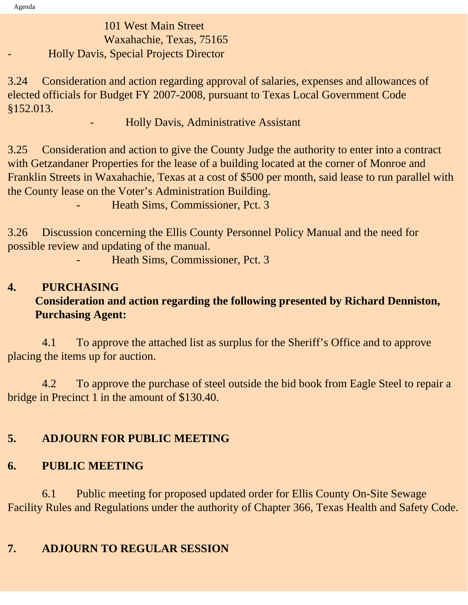# 101 West Main Street Waxahachie, Texas, 75165 - Holly Davis, Special Projects Director

3.24Consideration and action regarding approval of salaries, expenses and allowances of elected officials for Budget FY 2007-2008, pursuant to Texas Local Government Code §152.013.

#### - Holly Davis, Administrative Assistant

3.25 Consideration and action to give the County Judge the authority to enter into a contract with Getzandaner Properties for the lease of a building located at the corner of Monroe and Franklin Streets in Waxahachie, Texas at a cost of \$500 per month, said lease to run parallel with the County lease on the Voter's Administration Building.

Heath Sims, Commissioner, Pct. 3

3.26 Discussion concerning the Ellis County Personnel Policy Manual and the need for possible review and updating of the manual.

Heath Sims, Commissioner, Pct. 3

### **4. PURCHASING Consideration and action regarding the following presented by Richard Denniston, Purchasing Agent:**

 4.1 To approve the attached list as surplus for the Sheriff's Office and to approve placing the items up for auction.

 4.2 To approve the purchase of steel outside the bid book from Eagle Steel to repair a bridge in Precinct 1 in the amount of \$130.40.

### **5. ADJOURN FOR PUBLIC MEETING**

# **6. PUBLIC MEETING**

 6.1 Public meeting for proposed updated order for Ellis County On-Site Sewage Facility Rules and Regulations under the authority of Chapter 366, Texas Health and Safety Code.

# **7. ADJOURN TO REGULAR SESSION**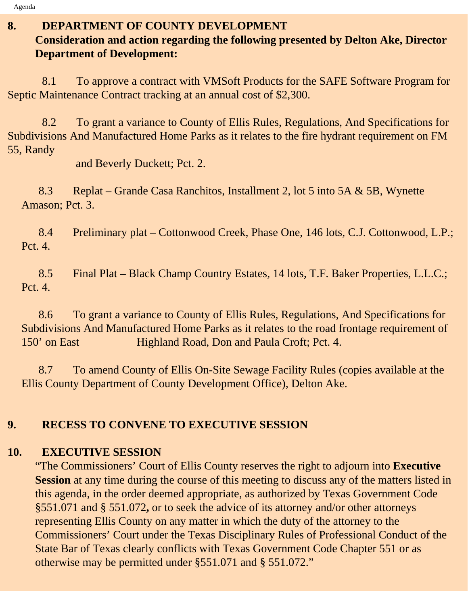## **8. DEPARTMENT OF COUNTY DEVELOPMENT**

## **Consideration and action regarding the following presented by Delton Ake, Director Department of Development:**

 8.1 To approve a contract with VMSoft Products for the SAFE Software Program for Septic Maintenance Contract tracking at an annual cost of \$2,300.

 8.2 To grant a variance to County of Ellis Rules, Regulations, And Specifications for Subdivisions And Manufactured Home Parks as it relates to the fire hydrant requirement on FM 55, Randy

and Beverly Duckett; Pct. 2.

 8.3 Replat – Grande Casa Ranchitos, Installment 2, lot 5 into 5A & 5B, Wynette Amason; Pct. 3.

 8.4 Preliminary plat – Cottonwood Creek, Phase One, 146 lots, C.J. Cottonwood, L.P.; Pct. 4.

 8.5 Final Plat – Black Champ Country Estates, 14 lots, T.F. Baker Properties, L.L.C.; Pct. 4.

 8.6 To grant a variance to County of Ellis Rules, Regulations, And Specifications for Subdivisions And Manufactured Home Parks as it relates to the road frontage requirement of 150' on East Highland Road, Don and Paula Croft; Pct. 4.

 8.7 To amend County of Ellis On-Site Sewage Facility Rules (copies available at the Ellis County Department of County Development Office), Delton Ake.

# **9. RECESS TO CONVENE TO EXECUTIVE SESSION**

## **10. EXECUTIVE SESSION**

"The Commissioners' Court of Ellis County reserves the right to adjourn into **Executive Session** at any time during the course of this meeting to discuss any of the matters listed in this agenda, in the order deemed appropriate, as authorized by Texas Government Code §551.071 and § 551.072**,** or to seek the advice of its attorney and/or other attorneys representing Ellis County on any matter in which the duty of the attorney to the Commissioners' Court under the Texas Disciplinary Rules of Professional Conduct of the State Bar of Texas clearly conflicts with Texas Government Code Chapter 551 or as otherwise may be permitted under §551.071 and § 551.072."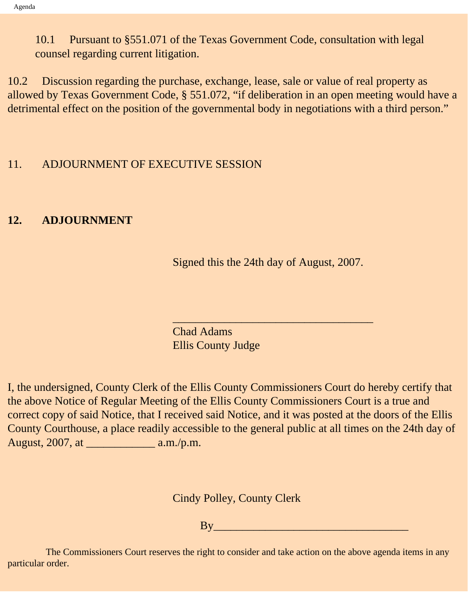10.1 Pursuant to §551.071 of the Texas Government Code, consultation with legal counsel regarding current litigation.

10.2 Discussion regarding the purchase, exchange, lease, sale or value of real property as allowed by Texas Government Code, § 551.072, "if deliberation in an open meeting would have a detrimental effect on the position of the governmental body in negotiations with a third person."

#### 11. ADJOURNMENT OF EXECUTIVE SESSION

#### **12. ADJOURNMENT**

Signed this the 24th day of August, 2007.

 $\overline{\phantom{a}}$  , and the set of the set of the set of the set of the set of the set of the set of the set of the set of the set of the set of the set of the set of the set of the set of the set of the set of the set of the s

Chad Adams Ellis County Judge

I, the undersigned, County Clerk of the Ellis County Commissioners Court do hereby certify that the above Notice of Regular Meeting of the Ellis County Commissioners Court is a true and correct copy of said Notice, that I received said Notice, and it was posted at the doors of the Ellis County Courthouse, a place readily accessible to the general public at all times on the 24th day of August, 2007, at \_\_\_\_\_\_\_\_\_\_\_\_ a.m./p.m.

Cindy Polley, County Clerk

By\_\_\_\_\_\_\_\_\_\_\_\_\_\_\_\_\_\_\_\_\_\_\_\_\_\_\_\_\_\_\_\_\_\_

 The Commissioners Court reserves the right to consider and take action on the above agenda items in any particular order.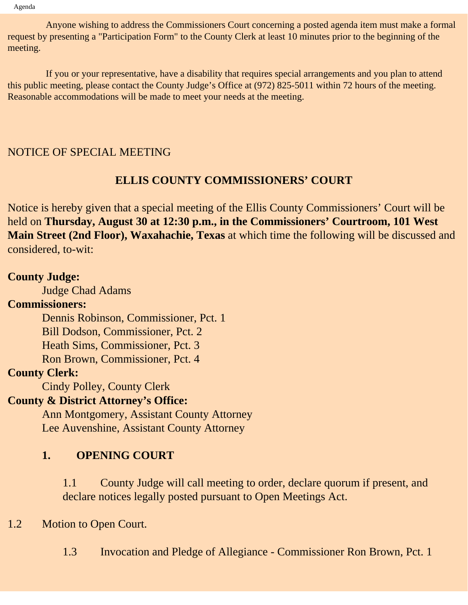Anyone wishing to address the Commissioners Court concerning a posted agenda item must make a formal request by presenting a "Participation Form" to the County Clerk at least 10 minutes prior to the beginning of the meeting.

 If you or your representative, have a disability that requires special arrangements and you plan to attend this public meeting, please contact the County Judge's Office at (972) 825-5011 within 72 hours of the meeting. Reasonable accommodations will be made to meet your needs at the meeting.

#### NOTICE OF SPECIAL MEETING

#### **ELLIS COUNTY COMMISSIONERS' COURT**

Notice is hereby given that a special meeting of the Ellis County Commissioners' Court will be held on **Thursday, August 30 at 12:30 p.m., in the Commissioners' Courtroom, 101 West Main Street (2nd Floor), Waxahachie, Texas** at which time the following will be discussed and considered, to-wit:

#### **County Judge:**

Judge Chad Adams

#### **Commissioners:**

Dennis Robinson, Commissioner, Pct. 1

Bill Dodson, Commissioner, Pct. 2

Heath Sims, Commissioner, Pct. 3

Ron Brown, Commissioner, Pct. 4

#### **County Clerk:**

Cindy Polley, County Clerk

#### **County & District Attorney's Office:**

 Ann Montgomery, Assistant County Attorney Lee Auvenshine, Assistant County Attorney

#### **1. OPENING COURT**

1.1 County Judge will call meeting to order, declare quorum if present, and declare notices legally posted pursuant to Open Meetings Act.

#### 1.2 Motion to Open Court.

1.3 Invocation and Pledge of Allegiance - Commissioner Ron Brown, Pct. 1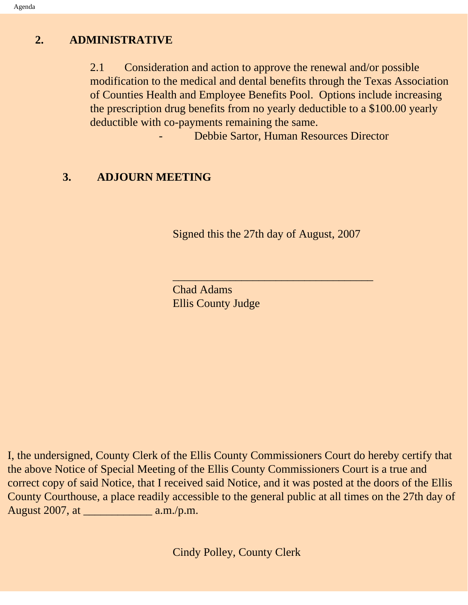#### **2. ADMINISTRATIVE**

2.1 Consideration and action to approve the renewal and/or possible modification to the medical and dental benefits through the Texas Association of Counties Health and Employee Benefits Pool. Options include increasing the prescription drug benefits from no yearly deductible to a \$100.00 yearly deductible with co-payments remaining the same.

Debbie Sartor, Human Resources Director

#### **3. ADJOURN MEETING**

Signed this the 27th day of August, 2007

 $\overline{\phantom{a}}$  , and the set of the set of the set of the set of the set of the set of the set of the set of the set of the set of the set of the set of the set of the set of the set of the set of the set of the set of the s

Chad Adams Ellis County Judge

I, the undersigned, County Clerk of the Ellis County Commissioners Court do hereby certify that the above Notice of Special Meeting of the Ellis County Commissioners Court is a true and correct copy of said Notice, that I received said Notice, and it was posted at the doors of the Ellis County Courthouse, a place readily accessible to the general public at all times on the 27th day of August 2007, at \_\_\_\_\_\_\_\_\_\_\_\_ a.m./p.m.

Cindy Polley, County Clerk